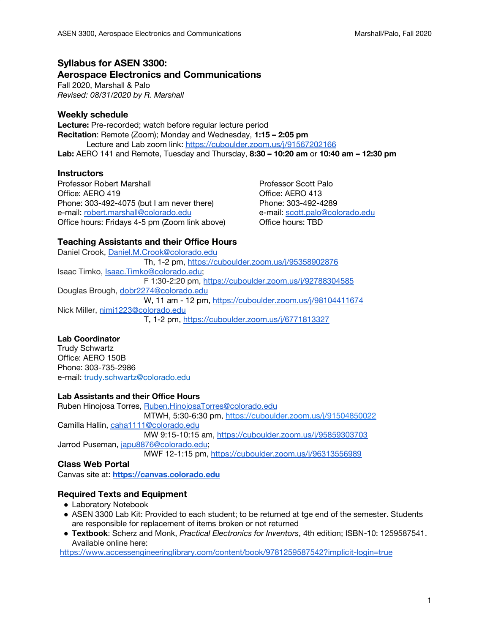# **Syllabus for ASEN 3300: Aerospace Electronics and Communications**

Fall 2020, Marshall & Palo *Revised: 08/31/2020 by R. Marshall*

# **Weekly schedule**

**Lecture:** Pre-recorded; watch before regular lecture period **Recitation**: Remote (Zoom); Monday and Wednesday, **1:15 – 2:05 pm** Lecture and Lab zoom link: <https://cuboulder.zoom.us/j/91567202166> **Lab:** AERO 141 and Remote, Tuesday and Thursday, **8:30 – 10:20 am** or **10:40 am – 12:30 pm**

## **Instructors**

Professor Robert Marshall **Professor Scott Palo**<br>
Office: AERO 419<br>
Office: AERO 413 Phone: 303-492-4075 (but I am never there) Phone: 303-492-4289 e-mail: [robert.marshall@colorado.edu](mailto:robert.marshall@colorado.edu) e-mail: [scott.palo@colorado.edu](mailto:scott.palo@colorado.edu) Office hours: Fridays 4-5 pm (Zoom link above) Office hours: TBD

Office: AERO 413

# **Teaching Assistants and their Office Hours**

Daniel Crook, [Daniel.M.Crook@colorado.edu](mailto:Daniel.M.Crook@colorado.edu) Th, 1-2 pm, <https://cuboulder.zoom.us/j/95358902876> Isaac Timko, [Isaac.Timko@colorado.edu;](mailto:Isaac.Timko@colorado.edu) F 1:30-2:20 pm, <https://cuboulder.zoom.us/j/92788304585> Douglas Brough, [dobr2274@colorado.edu](mailto:dobr2274@colorado.edu) W, 11 am - 12 pm, <https://cuboulder.zoom.us/j/98104411674> Nick Miller, [nimi1223@colorado.edu](mailto:nimi1223@colorado.edu) T, 1-2 pm, <https://cuboulder.zoom.us/j/6771813327>

# **Lab Coordinator**

Trudy Schwartz Office: AERO 150B Phone: 303-735-2986 e-mail: [trudy.schwartz@colorado.edu](mailto:trudy.schwartz@colorado.edu)

# **Lab Assistants and their Office Hours**

Ruben Hinojosa Torres, [Ruben.HinojosaTorres@colorado.edu](mailto:Ruben.HinojosaTorres@colorado.edu) MTWH, 5:30-6:30 pm, <https://cuboulder.zoom.us/j/91504850022> Camilla Hallin, [caha1111@colorado.edu](mailto:caha1111@colorado.edu) MW 9:15-10:15 am, <https://cuboulder.zoom.us/j/95859303703> Jarrod Puseman, [japu8876@colorado.edu;](mailto:japu8876@colorado.edu) MWF 12-1:15 pm, <https://cuboulder.zoom.us/j/96313556989>

# **Class Web Portal**

Canvas site at: **[https://canvas.colorado.edu](https://canvas.colorado.edu/)**

# **Required Texts and Equipment**

- Laboratory Notebook
- ASEN 3300 Lab Kit: Provided to each student; to be returned at tge end of the semester. Students are responsible for replacement of items broken or not returned
- **Textbook**: Scherz and Monk, *Practical Electronics for Inventors*, 4th edition; ISBN-10: 1259587541. Available online here:

<https://www.accessengineeringlibrary.com/content/book/9781259587542?implicit-login=true>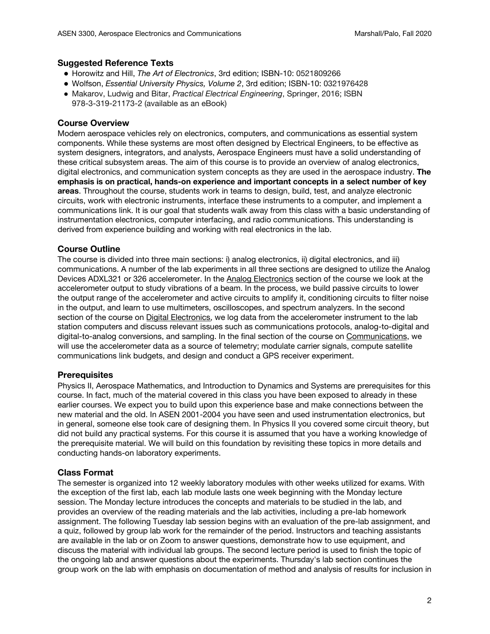# **Suggested Reference Texts**

- **●** Horowitz and Hill, *The Art of Electronics*, 3rd edition; ISBN-10: 0521809266
- **●** Wolfson, *Essential University Physics, Volume 2*, 3rd edition; ISBN-10: 0321976428
- Makarov, Ludwig and Bitar, *Practical Electrical Engineering*, Springer, 2016; ISBN 978-3-319-21173-2 (available as an eBook)

# **Course Overview**

Modern aerospace vehicles rely on electronics, computers, and communications as essential system components. While these systems are most often designed by Electrical Engineers, to be effective as system designers, integrators, and analysts, Aerospace Engineers must have a solid understanding of these critical subsystem areas. The aim of this course is to provide an overview of analog electronics, digital electronics, and communication system concepts as they are used in the aerospace industry. **The emphasis is on practical, hands-on experience and important concepts in a select number of key areas**. Throughout the course, students work in teams to design, build, test, and analyze electronic circuits, work with electronic instruments, interface these instruments to a computer, and implement a communications link. It is our goal that students walk away from this class with a basic understanding of instrumentation electronics, computer interfacing, and radio communications. This understanding is derived from experience building and working with real electronics in the lab.

# **Course Outline**

The course is divided into three main sections: i) analog electronics, ii) digital electronics, and iii) communications. A number of the lab experiments in all three sections are designed to utilize the Analog Devices ADXL321 or 326 accelerometer. In the Analog Electronics section of the course we look at the accelerometer output to study vibrations of a beam. In the process, we build passive circuits to lower the output range of the accelerometer and active circuits to amplify it, conditioning circuits to filter noise in the output, and learn to use multimeters, oscilloscopes, and spectrum analyzers. In the second section of the course on Digital Electronics, we log data from the accelerometer instrument to the lab station computers and discuss relevant issues such as communications protocols, analog-to-digital and digital-to-analog conversions, and sampling. In the final section of the course on Communications, we will use the accelerometer data as a source of telemetry; modulate carrier signals, compute satellite communications link budgets, and design and conduct a GPS receiver experiment.

## **Prerequisites**

Physics II, Aerospace Mathematics, and Introduction to Dynamics and Systems are prerequisites for this course. In fact, much of the material covered in this class you have been exposed to already in these earlier courses. We expect you to build upon this experience base and make connections between the new material and the old. In ASEN 2001-2004 you have seen and used instrumentation electronics, but in general, someone else took care of designing them. In Physics II you covered some circuit theory, but did not build any practical systems. For this course it is assumed that you have a working knowledge of the prerequisite material. We will build on this foundation by revisiting these topics in more details and conducting hands-on laboratory experiments.

# **Class Format**

The semester is organized into 12 weekly laboratory modules with other weeks utilized for exams. With the exception of the first lab, each lab module lasts one week beginning with the Monday lecture session. The Monday lecture introduces the concepts and materials to be studied in the lab, and provides an overview of the reading materials and the lab activities, including a pre-lab homework assignment. The following Tuesday lab session begins with an evaluation of the pre-lab assignment, and a quiz, followed by group lab work for the remainder of the period. Instructors and teaching assistants are available in the lab or on Zoom to answer questions, demonstrate how to use equipment, and discuss the material with individual lab groups. The second lecture period is used to finish the topic of the ongoing lab and answer questions about the experiments. Thursday's lab section continues the group work on the lab with emphasis on documentation of method and analysis of results for inclusion in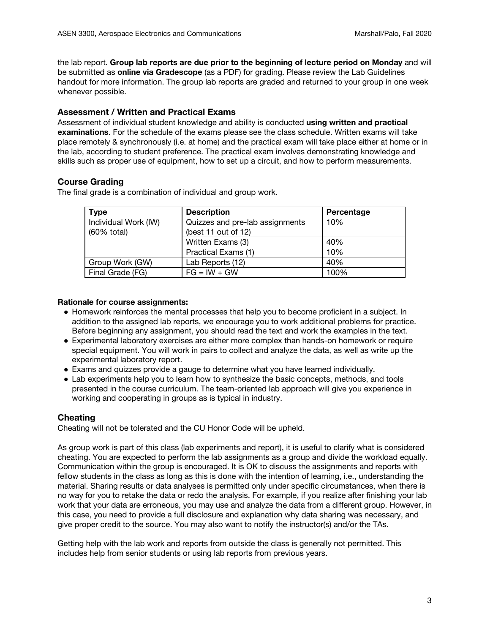the lab report. **Group lab reports are due prior to the beginning of lecture period on Monday** and will be submitted as **online via Gradescope** (as a PDF) for grading. Please review the Lab Guidelines handout for more information. The group lab reports are graded and returned to your group in one week whenever possible.

# **Assessment / Written and Practical Exams**

Assessment of individual student knowledge and ability is conducted **using written and practical examinations**. For the schedule of the exams please see the class schedule. Written exams will take place remotely & synchronously (i.e. at home) and the practical exam will take place either at home or in the lab, according to student preference. The practical exam involves demonstrating knowledge and skills such as proper use of equipment, how to set up a circuit, and how to perform measurements.

# **Course Grading**

The final grade is a combination of individual and group work.

| <b>Type</b>                         | <b>Description</b>                                     | Percentage |
|-------------------------------------|--------------------------------------------------------|------------|
| Individual Work (IW)<br>(60% total) | Quizzes and pre-lab assignments<br>(best 11 out of 12) | 10%        |
|                                     | Written Exams (3)                                      | 40%        |
|                                     | Practical Exams (1)                                    | 10%        |
| Group Work (GW)                     | Lab Reports (12)                                       | 40%        |
| Final Grade (FG)                    | $FG = IW + GW$                                         | 100%       |

## **Rationale for course assignments:**

- Homework reinforces the mental processes that help you to become proficient in a subject. In addition to the assigned lab reports, we encourage you to work additional problems for practice. Before beginning any assignment, you should read the text and work the examples in the text.
- Experimental laboratory exercises are either more complex than hands-on homework or require special equipment. You will work in pairs to collect and analyze the data, as well as write up the experimental laboratory report.
- Exams and quizzes provide a gauge to determine what you have learned individually.
- Lab experiments help you to learn how to synthesize the basic concepts, methods, and tools presented in the course curriculum. The team-oriented lab approach will give you experience in working and cooperating in groups as is typical in industry.

## **Cheating**

Cheating will not be tolerated and the CU Honor Code will be upheld.

As group work is part of this class (lab experiments and report), it is useful to clarify what is considered cheating. You are expected to perform the lab assignments as a group and divide the workload equally. Communication within the group is encouraged. It is OK to discuss the assignments and reports with fellow students in the class as long as this is done with the intention of learning, i.e., understanding the material. Sharing results or data analyses is permitted only under specific circumstances, when there is no way for you to retake the data or redo the analysis. For example, if you realize after finishing your lab work that your data are erroneous, you may use and analyze the data from a different group. However, in this case, you need to provide a full disclosure and explanation why data sharing was necessary, and give proper credit to the source. You may also want to notify the instructor(s) and/or the TAs.

Getting help with the lab work and reports from outside the class is generally not permitted. This includes help from senior students or using lab reports from previous years.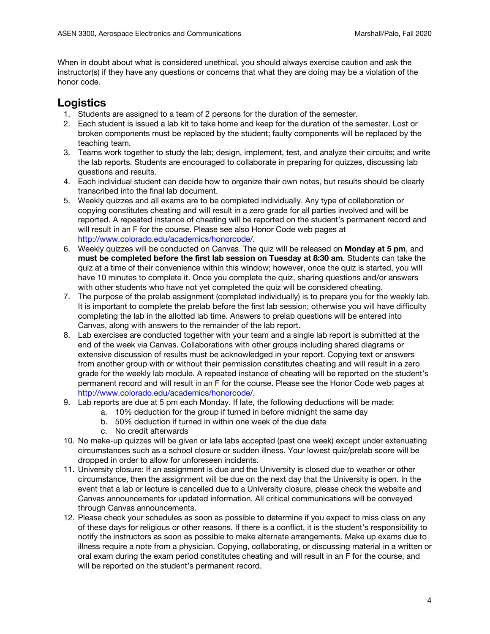When in doubt about what is considered unethical, you should always exercise caution and ask the instructor(s) if they have any questions or concerns that what they are doing may be a violation of the honor code.

# **Logistics**

- 1. Students are assigned to a team of 2 persons for the duration of the semester.
- 2. Each student is issued a lab kit to take home and keep for the duration of the semester. Lost or broken components must be replaced by the student; faulty components will be replaced by the teaching team.
- 3. Teams work together to study the lab; design, implement, test, and analyze their circuits; and write the lab reports. Students are encouraged to collaborate in preparing for quizzes, discussing lab questions and results.
- 4. Each individual student can decide how to organize their own notes, but results should be clearly transcribed into the final lab document.
- 5. Weekly quizzes and all exams are to be completed individually. Any type of collaboration or copying constitutes cheating and will result in a zero grade for all parties involved and will be reported. A repeated instance of cheating will be reported on the student's permanent record and will result in an F for the course. Please see also Honor Code web pages at http://www.colorado.edu/academics/honorcode/.
- 6. Weekly quizzes will be conducted on Canvas. The quiz will be released on **Monday at 5 pm**, and **must be completed before the first lab session on Tuesday at 8:30 am**. Students can take the quiz at a time of their convenience within this window; however, once the quiz is started, you will have 10 minutes to complete it. Once you complete the quiz, sharing questions and/or answers with other students who have not yet completed the quiz will be considered cheating.
- 7. The purpose of the prelab assignment (completed individually) is to prepare you for the weekly lab. It is important to complete the prelab before the first lab session; otherwise you will have difficulty completing the lab in the allotted lab time. Answers to prelab questions will be entered into Canvas, along with answers to the remainder of the lab report.
- 8. Lab exercises are conducted together with your team and a single lab report is submitted at the end of the week via Canvas. Collaborations with other groups including shared diagrams or extensive discussion of results must be acknowledged in your report. Copying text or answers from another group with or without their permission constitutes cheating and will result in a zero grade for the weekly lab module. A repeated instance of cheating will be reported on the student's permanent record and will result in an F for the course. Please see the Honor Code web pages at http://www.colorado.edu/academics/honorcode/.
- 9. Lab reports are due at 5 pm each Monday. If late, the following deductions will be made:
	- a. 10% deduction for the group if turned in before midnight the same day
	- b. 50% deduction if turned in within one week of the due date
	- c. No credit afterwards
- 10. No make-up quizzes will be given or late labs accepted (past one week) except under extenuating circumstances such as a school closure or sudden illness. Your lowest quiz/prelab score will be dropped in order to allow for unforeseen incidents.
- 11. University closure: If an assignment is due and the University is closed due to weather or other circumstance, then the assignment will be due on the next day that the University is open. In the event that a lab or lecture is cancelled due to a University closure, please check the website and Canvas announcements for updated information. All critical communications will be conveyed through Canvas announcements.
- 12. Please check your schedules as soon as possible to determine if you expect to miss class on any of these days for religious or other reasons. If there is a conflict, it is the student's responsibility to notify the instructors as soon as possible to make alternate arrangements. Make up exams due to illness require a note from a physician. Copying, collaborating, or discussing material in a written or oral exam during the exam period constitutes cheating and will result in an F for the course, and will be reported on the student's permanent record.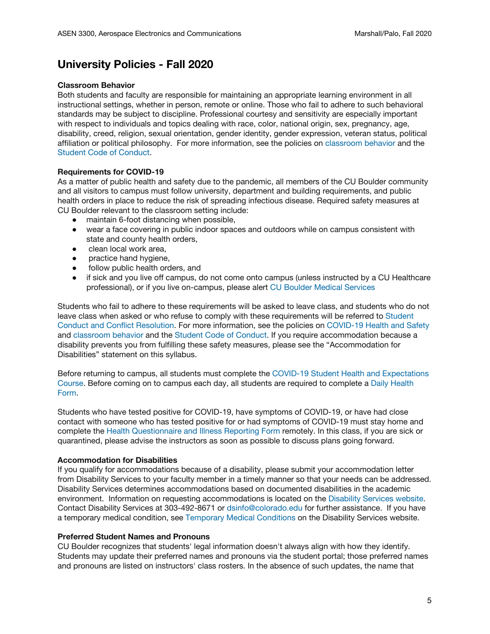# **University Policies - Fall 2020**

#### **Classroom Behavior**

Both students and faculty are responsible for maintaining an appropriate learning environment in all instructional settings, whether in person, remote or online. Those who fail to adhere to such behavioral standards may be subject to discipline. Professional courtesy and sensitivity are especially important with respect to individuals and topics dealing with race, color, national origin, sex, pregnancy, age, disability, creed, religion, sexual orientation, gender identity, gender expression, veteran status, political affiliation or political philosophy. For more information, see the policies on [classroom](http://www.colorado.edu/policies/student-classroom-and-course-related-behavior) behavior and the Student Code of [Conduct.](https://www.colorado.edu/sccr/sites/default/files/attached-files/2019-2020_student_code_of_conduct_0.pdf)

## **Requirements for COVID-19**

As a matter of public health and safety due to the pandemic, all members of the CU Boulder community and all visitors to campus must follow university, department and building requirements, and public health orders in place to reduce the risk of spreading infectious disease. Required safety measures at CU Boulder relevant to the classroom setting include:

- maintain 6-foot distancing when possible,
- wear a face covering in public indoor spaces and outdoors while on campus consistent with state and county health orders,
- clean local work area,
- practice hand hygiene,
- follow public health orders, and
- if sick and you live off campus, do not come onto campus (unless instructed by a CU Healthcare professional), or if you live on-campus, please alert CU Boulder Medical [Services](https://www.colorado.edu/healthcenter/coronavirus-updates/symptoms-and-what-do-if-you-feel-sick)

Students who fail to adhere to these requirements will be asked to leave class, and students who do not leave class when asked or who refuse to comply with these requirements will be referred to [Student](https://www.colorado.edu/sccr/) Conduct and Conflict [Resolution.](https://www.colorado.edu/sccr/) For more information, see the policies on [COVID-19](https://www.colorado.edu/policies/covid-19-health-and-safety-policy) Health and Safety and [classroom](http://www.colorado.edu/policies/student-classroom-and-course-related-behavior) behavior and the Student Code of [Conduct.](http://www.colorado.edu/osccr/) If you require accommodation because a disability prevents you from fulfilling these safety measures, please see the "Accommodation for Disabilities" statement on this syllabus.

Before returning to campus, all students must complete the COVID-19 Student Health and [Expectations](https://www.colorado.edu/protect-our-herd/how#anchor1) [Course](https://www.colorado.edu/protect-our-herd/how#anchor1). Before coming on to campus each day, all students are required to complete a Daily [Health](https://www.colorado.edu/protect-our-herd/daily-health-form) [Form](https://www.colorado.edu/protect-our-herd/daily-health-form).

Students who have tested positive for COVID-19, have symptoms of COVID-19, or have had close contact with someone who has tested positive for or had symptoms of COVID-19 must stay home and complete the Health [Questionnaire](https://www.colorado.edu/protect-our-herd/daily-health-form) and Illness Reporting Form remotely. In this class, if you are sick or quarantined, please advise the instructors as soon as possible to discuss plans going forward.

#### **Accommodation for Disabilities**

If you qualify for accommodations because of a disability, please submit your accommodation letter from Disability Services to your faculty member in a timely manner so that your needs can be addressed. Disability Services determines accommodations based on documented disabilities in the academic environment. Information on requesting accommodations is located on the [Disability](https://www.colorado.edu/disabilityservices/) Services website. Contact Disability Services at 303-492-8671 or dsinfo@colorado.edu for further assistance. If you have a temporary medical condition, see Temporary Medical [Conditions](http://www.colorado.edu/disabilityservices/students/temporary-medical-conditions) on the Disability Services website.

#### **Preferred Student Names and Pronouns**

CU Boulder recognizes that students' legal information doesn't always align with how they identify. Students may update their preferred names and pronouns via the student portal; those preferred names and pronouns are listed on instructors' class rosters. In the absence of such updates, the name that